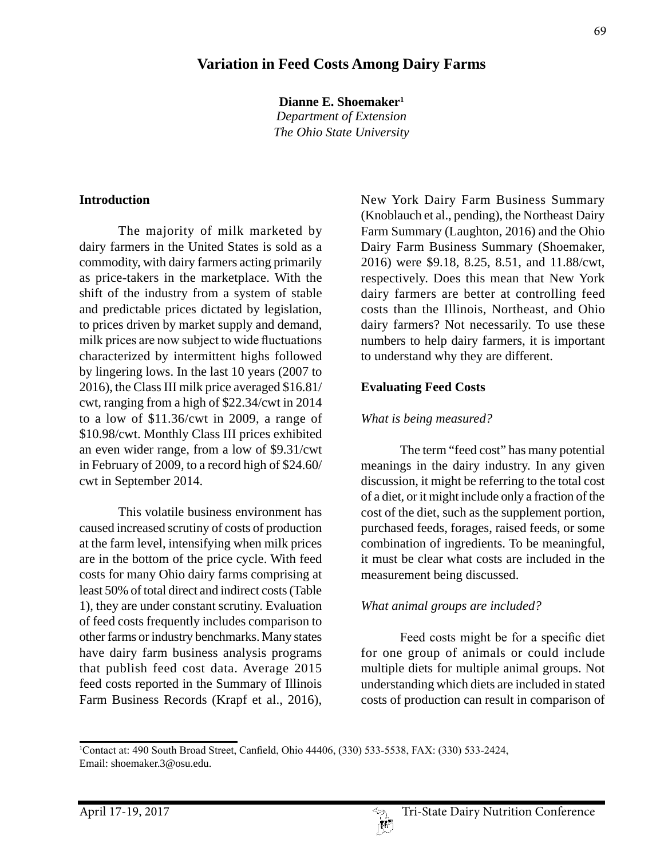# **Variation in Feed Costs Among Dairy Farms**

**Dianne E. Shoemaker1**

*Department of Extension The Ohio State University*

#### **Introduction**

The majority of milk marketed by dairy farmers in the United States is sold as a commodity, with dairy farmers acting primarily as price-takers in the marketplace. With the shift of the industry from a system of stable and predictable prices dictated by legislation, to prices driven by market supply and demand, milk prices are now subject to wide fluctuations characterized by intermittent highs followed by lingering lows. In the last 10 years (2007 to 2016), the Class III milk price averaged \$16.81/ cwt, ranging from a high of \$22.34/cwt in 2014 to a low of \$11.36/cwt in 2009, a range of \$10.98/cwt. Monthly Class III prices exhibited an even wider range, from a low of \$9.31/cwt in February of 2009, to a record high of \$24.60/ cwt in September 2014.

This volatile business environment has caused increased scrutiny of costs of production at the farm level, intensifying when milk prices are in the bottom of the price cycle. With feed costs for many Ohio dairy farms comprising at least 50% of total direct and indirect costs (Table 1), they are under constant scrutiny. Evaluation of feed costs frequently includes comparison to other farms or industry benchmarks. Many states have dairy farm business analysis programs that publish feed cost data. Average 2015 feed costs reported in the Summary of Illinois Farm Business Records (Krapf et al., 2016),

New York Dairy Farm Business Summary (Knoblauch et al., pending), the Northeast Dairy Farm Summary (Laughton, 2016) and the Ohio Dairy Farm Business Summary (Shoemaker, 2016) were \$9.18, 8.25, 8.51, and 11.88/cwt, respectively. Does this mean that New York dairy farmers are better at controlling feed costs than the Illinois, Northeast, and Ohio dairy farmers? Not necessarily. To use these numbers to help dairy farmers, it is important to understand why they are different.

## **Evaluating Feed Costs**

## *What is being measured?*

The term "feed cost" has many potential meanings in the dairy industry. In any given discussion, it might be referring to the total cost of a diet, or it might include only a fraction of the cost of the diet, such as the supplement portion, purchased feeds, forages, raised feeds, or some combination of ingredients. To be meaningful, it must be clear what costs are included in the measurement being discussed.

## *What animal groups are included?*

Feed costs might be for a specific diet for one group of animals or could include multiple diets for multiple animal groups. Not understanding which diets are included in stated costs of production can result in comparison of

<sup>1</sup> Contact at: 490 South Broad Street, Canfield, Ohio 44406, (330) 533-5538, FAX: (330) 533-2424, Email: shoemaker.3@osu.edu.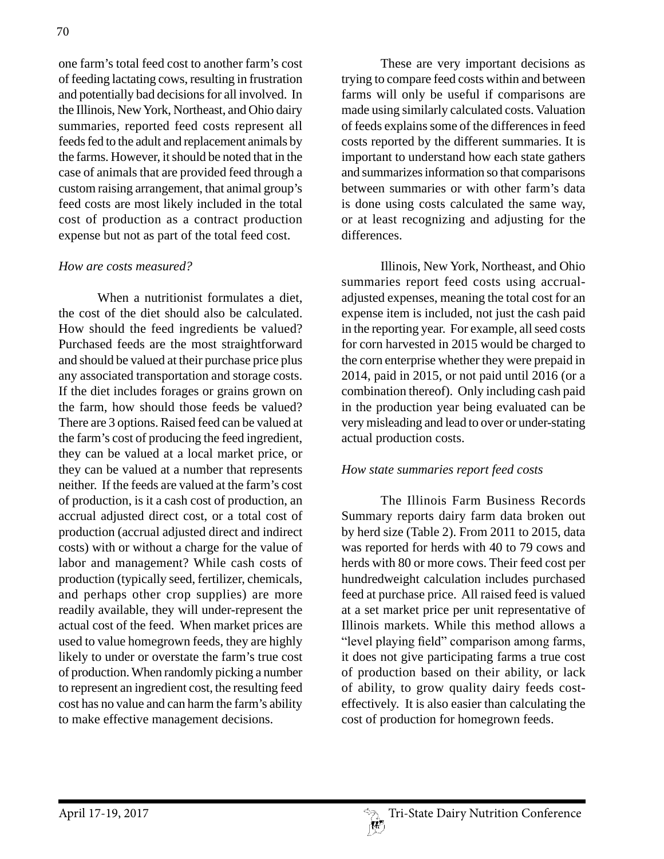one farm's total feed cost to another farm's cost of feeding lactating cows, resulting in frustration and potentially bad decisions for all involved. In the Illinois, New York, Northeast, and Ohio dairy summaries, reported feed costs represent all feeds fed to the adult and replacement animals by the farms. However, it should be noted that in the case of animals that are provided feed through a custom raising arrangement, that animal group's feed costs are most likely included in the total cost of production as a contract production expense but not as part of the total feed cost.

## *How are costs measured?*

When a nutritionist formulates a diet, the cost of the diet should also be calculated. How should the feed ingredients be valued? Purchased feeds are the most straightforward and should be valued at their purchase price plus any associated transportation and storage costs. If the diet includes forages or grains grown on the farm, how should those feeds be valued? There are 3 options. Raised feed can be valued at the farm's cost of producing the feed ingredient, they can be valued at a local market price, or they can be valued at a number that represents neither. If the feeds are valued at the farm's cost of production, is it a cash cost of production, an accrual adjusted direct cost, or a total cost of production (accrual adjusted direct and indirect costs) with or without a charge for the value of labor and management? While cash costs of production (typically seed, fertilizer, chemicals, and perhaps other crop supplies) are more readily available, they will under-represent the actual cost of the feed. When market prices are used to value homegrown feeds, they are highly likely to under or overstate the farm's true cost of production. When randomly picking a number to represent an ingredient cost, the resulting feed cost has no value and can harm the farm's ability to make effective management decisions.

These are very important decisions as trying to compare feed costs within and between farms will only be useful if comparisons are made using similarly calculated costs. Valuation of feeds explains some of the differences in feed costs reported by the different summaries. It is important to understand how each state gathers and summarizes information so that comparisons between summaries or with other farm's data is done using costs calculated the same way, or at least recognizing and adjusting for the differences.

Illinois, New York, Northeast, and Ohio summaries report feed costs using accrualadjusted expenses, meaning the total cost for an expense item is included, not just the cash paid in the reporting year. For example, all seed costs for corn harvested in 2015 would be charged to the corn enterprise whether they were prepaid in 2014, paid in 2015, or not paid until 2016 (or a combination thereof). Only including cash paid in the production year being evaluated can be very misleading and lead to over or under-stating actual production costs.

#### *How state summaries report feed costs*

The Illinois Farm Business Records Summary reports dairy farm data broken out by herd size (Table 2). From 2011 to 2015, data was reported for herds with 40 to 79 cows and herds with 80 or more cows. Their feed cost per hundredweight calculation includes purchased feed at purchase price. All raised feed is valued at a set market price per unit representative of Illinois markets. While this method allows a "level playing field" comparison among farms, it does not give participating farms a true cost of production based on their ability, or lack of ability, to grow quality dairy feeds costeffectively. It is also easier than calculating the cost of production for homegrown feeds.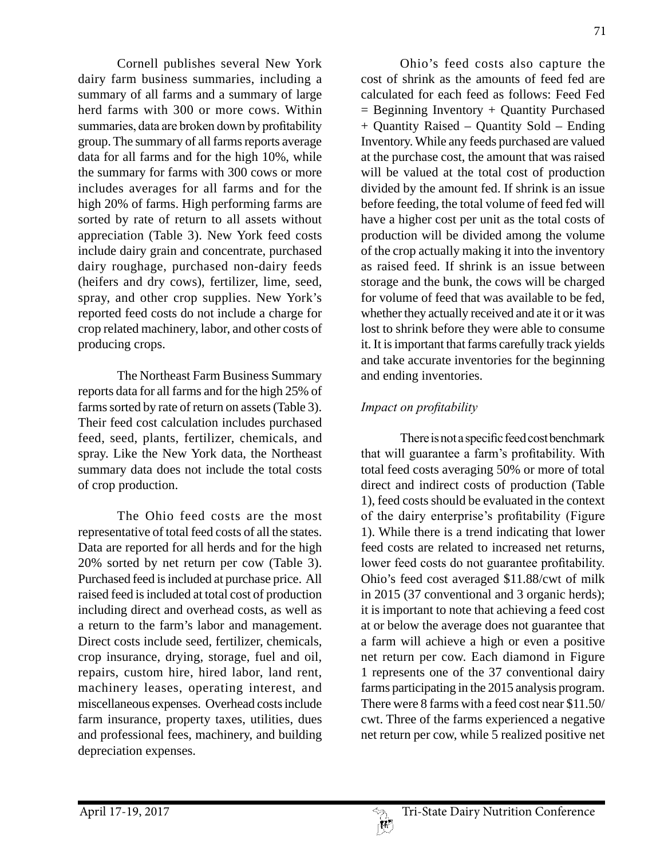Cornell publishes several New York dairy farm business summaries, including a summary of all farms and a summary of large herd farms with 300 or more cows. Within summaries, data are broken down by profitability group. The summary of all farms reports average data for all farms and for the high 10%, while the summary for farms with 300 cows or more includes averages for all farms and for the high 20% of farms. High performing farms are sorted by rate of return to all assets without appreciation (Table 3). New York feed costs include dairy grain and concentrate, purchased dairy roughage, purchased non-dairy feeds (heifers and dry cows), fertilizer, lime, seed, spray, and other crop supplies. New York's reported feed costs do not include a charge for crop related machinery, labor, and other costs of producing crops.

The Northeast Farm Business Summary reports data for all farms and for the high 25% of farms sorted by rate of return on assets (Table 3). Their feed cost calculation includes purchased feed, seed, plants, fertilizer, chemicals, and spray. Like the New York data, the Northeast summary data does not include the total costs of crop production.

The Ohio feed costs are the most representative of total feed costs of all the states. Data are reported for all herds and for the high 20% sorted by net return per cow (Table 3). Purchased feed is included at purchase price. All raised feed is included at total cost of production including direct and overhead costs, as well as a return to the farm's labor and management. Direct costs include seed, fertilizer, chemicals, crop insurance, drying, storage, fuel and oil, repairs, custom hire, hired labor, land rent, machinery leases, operating interest, and miscellaneous expenses. Overhead costs include farm insurance, property taxes, utilities, dues and professional fees, machinery, and building depreciation expenses.

Ohio's feed costs also capture the cost of shrink as the amounts of feed fed are calculated for each feed as follows: Feed Fed  $=$  Beginning Inventory  $+$  Quantity Purchased + Quantity Raised – Quantity Sold – Ending Inventory. While any feeds purchased are valued at the purchase cost, the amount that was raised will be valued at the total cost of production divided by the amount fed. If shrink is an issue before feeding, the total volume of feed fed will have a higher cost per unit as the total costs of production will be divided among the volume of the crop actually making it into the inventory as raised feed. If shrink is an issue between storage and the bunk, the cows will be charged for volume of feed that was available to be fed, whether they actually received and ate it or it was lost to shrink before they were able to consume it. It is important that farms carefully track yields and take accurate inventories for the beginning and ending inventories.

# *Impact on profitability*

There is not a specific feed cost benchmark that will guarantee a farm's profitability. With total feed costs averaging 50% or more of total direct and indirect costs of production (Table 1), feed costs should be evaluated in the context of the dairy enterprise's profitability (Figure 1). While there is a trend indicating that lower feed costs are related to increased net returns, lower feed costs do not guarantee profitability. Ohio's feed cost averaged \$11.88/cwt of milk in 2015 (37 conventional and 3 organic herds); it is important to note that achieving a feed cost at or below the average does not guarantee that a farm will achieve a high or even a positive net return per cow. Each diamond in Figure 1 represents one of the 37 conventional dairy farms participating in the 2015 analysis program. There were 8 farms with a feed cost near \$11.50/ cwt. Three of the farms experienced a negative net return per cow, while 5 realized positive net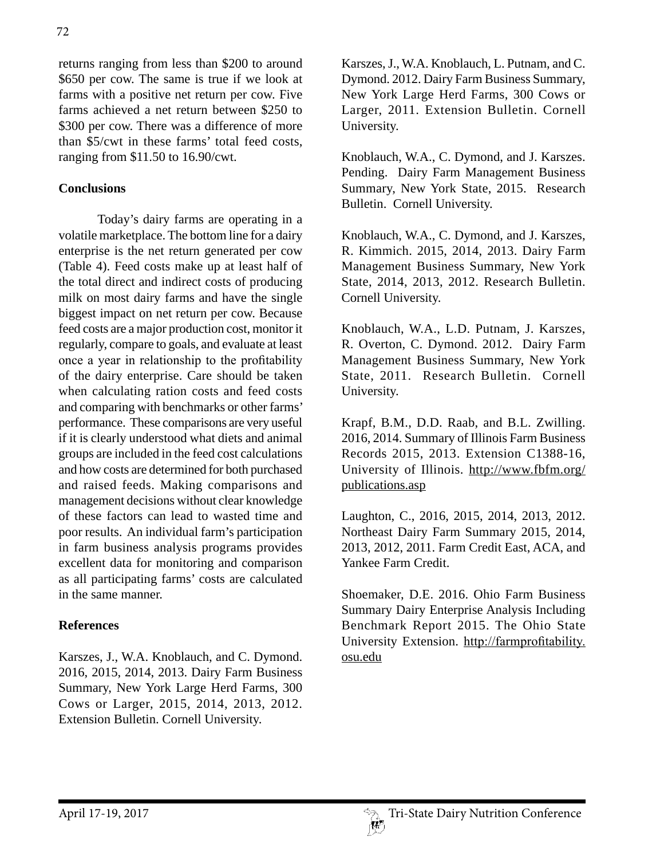returns ranging from less than \$200 to around \$650 per cow. The same is true if we look at farms with a positive net return per cow. Five farms achieved a net return between \$250 to \$300 per cow. There was a difference of more than \$5/cwt in these farms' total feed costs, ranging from \$11.50 to 16.90/cwt.

## **Conclusions**

Today's dairy farms are operating in a volatile marketplace. The bottom line for a dairy enterprise is the net return generated per cow (Table 4). Feed costs make up at least half of the total direct and indirect costs of producing milk on most dairy farms and have the single biggest impact on net return per cow. Because feed costs are a major production cost, monitor it regularly, compare to goals, and evaluate at least once a year in relationship to the profitability of the dairy enterprise. Care should be taken when calculating ration costs and feed costs and comparing with benchmarks or other farms' performance. These comparisons are very useful if it is clearly understood what diets and animal groups are included in the feed cost calculations and how costs are determined for both purchased and raised feeds. Making comparisons and management decisions without clear knowledge of these factors can lead to wasted time and poor results. An individual farm's participation in farm business analysis programs provides excellent data for monitoring and comparison as all participating farms' costs are calculated in the same manner.

## **References**

Karszes, J., W.A. Knoblauch, and C. Dymond. 2016, 2015, 2014, 2013. Dairy Farm Business Summary, New York Large Herd Farms, 300 Cows or Larger, 2015, 2014, 2013, 2012. Extension Bulletin. Cornell University.

Karszes, J., W.A. Knoblauch, L. Putnam, and C. Dymond. 2012. Dairy Farm Business Summary, New York Large Herd Farms, 300 Cows or Larger, 2011. Extension Bulletin. Cornell University.

Knoblauch, W.A., C. Dymond, and J. Karszes. Pending. Dairy Farm Management Business Summary, New York State, 2015. Research Bulletin. Cornell University.

Knoblauch, W.A., C. Dymond, and J. Karszes, R. Kimmich. 2015, 2014, 2013. Dairy Farm Management Business Summary, New York State, 2014, 2013, 2012. Research Bulletin. Cornell University.

Knoblauch, W.A., L.D. Putnam, J. Karszes, R. Overton, C. Dymond. 2012. Dairy Farm Management Business Summary, New York State, 2011. Research Bulletin. Cornell University.

Krapf, B.M., D.D. Raab, and B.L. Zwilling. 2016, 2014. Summary of Illinois Farm Business Records 2015, 2013. Extension C1388-16, University of Illinois. http://www.fbfm.org/ publications.asp

Laughton, C., 2016, 2015, 2014, 2013, 2012. Northeast Dairy Farm Summary 2015, 2014, 2013, 2012, 2011. Farm Credit East, ACA, and Yankee Farm Credit.

Shoemaker, D.E. 2016. Ohio Farm Business Summary Dairy Enterprise Analysis Including Benchmark Report 2015. The Ohio State University Extension. http://farmprofitability. osu.edu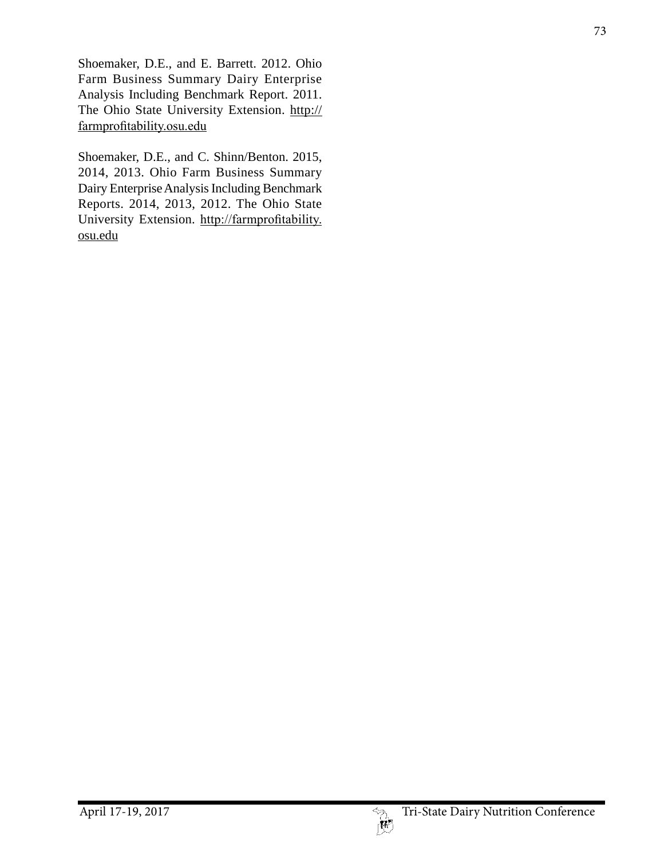Shoemaker, D.E., and E. Barrett. 2012. Ohio Farm Business Summary Dairy Enterprise Analysis Including Benchmark Report. 2011. The Ohio State University Extension. http:// farmprofitability.osu.edu

Shoemaker, D.E., and C. Shinn/Benton. 2015, 2014, 2013. Ohio Farm Business Summary Dairy Enterprise Analysis Including Benchmark Reports. 2014, 2013, 2012. The Ohio State University Extension. http://farmprofitability. osu.edu

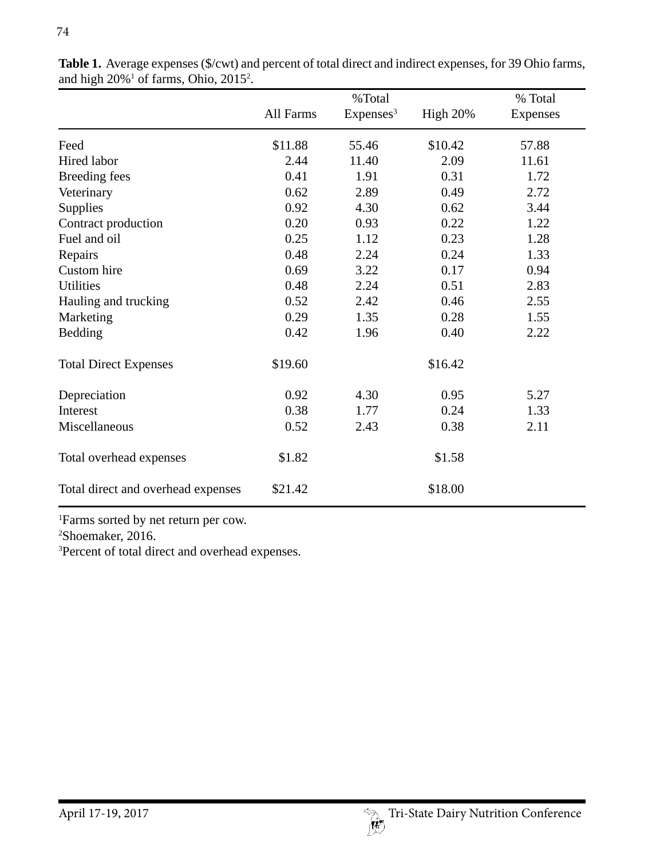|                                    |           | %Total               |          | % Total         |
|------------------------------------|-----------|----------------------|----------|-----------------|
|                                    | All Farms | Express <sup>3</sup> | High 20% | <b>Expenses</b> |
| Feed                               | \$11.88   | 55.46                | \$10.42  | 57.88           |
| Hired labor                        | 2.44      | 11.40                | 2.09     | 11.61           |
| Breeding fees                      | 0.41      | 1.91                 | 0.31     | 1.72            |
| Veterinary                         | 0.62      | 2.89                 | 0.49     | 2.72            |
| Supplies                           | 0.92      | 4.30                 | 0.62     | 3.44            |
| Contract production                | 0.20      | 0.93                 | 0.22     | 1.22            |
| Fuel and oil                       | 0.25      | 1.12                 | 0.23     | 1.28            |
| Repairs                            | 0.48      | 2.24                 | 0.24     | 1.33            |
| Custom hire                        | 0.69      | 3.22                 | 0.17     | 0.94            |
| <b>Utilities</b>                   | 0.48      | 2.24                 | 0.51     | 2.83            |
| Hauling and trucking               | 0.52      | 2.42                 | 0.46     | 2.55            |
| Marketing                          | 0.29      | 1.35                 | 0.28     | 1.55            |
| Bedding                            | 0.42      | 1.96                 | 0.40     | 2.22            |
| <b>Total Direct Expenses</b>       | \$19.60   |                      | \$16.42  |                 |
| Depreciation                       | 0.92      | 4.30                 | 0.95     | 5.27            |
| Interest                           | 0.38      | 1.77                 | 0.24     | 1.33            |
| Miscellaneous                      | 0.52      | 2.43                 | 0.38     | 2.11            |
| Total overhead expenses            | \$1.82    |                      | \$1.58   |                 |
| Total direct and overhead expenses | \$21.42   |                      | \$18.00  |                 |

**Table 1.** Average expenses (\$/cwt) and percent of total direct and indirect expenses, for 39 Ohio farms, and high  $20\%$ <sup>1</sup> of farms, Ohio,  $2015$ <sup>2</sup>.

1 Farms sorted by net return per cow.

2 Shoemaker, 2016.

3 Percent of total direct and overhead expenses.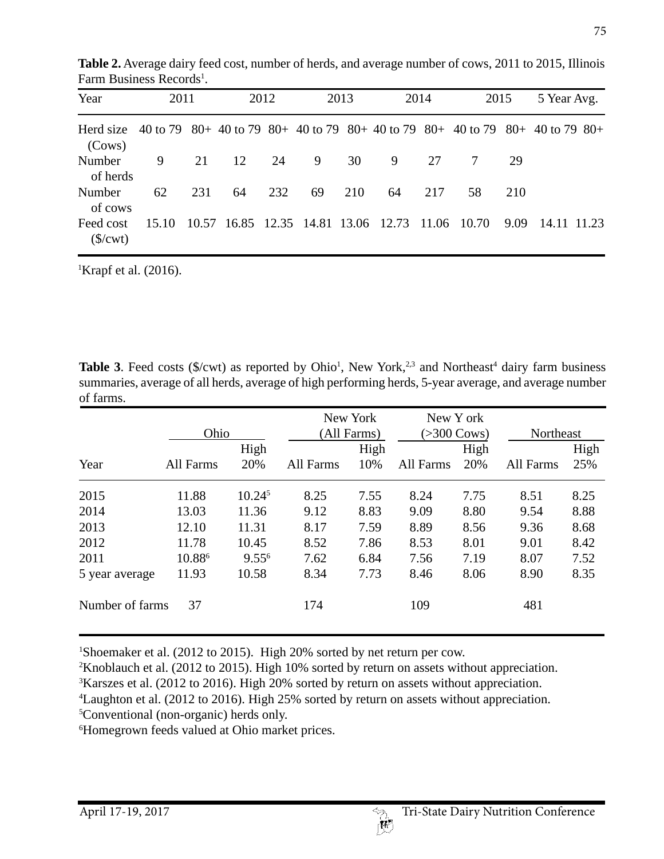| Year                                | 2011  |     |    | 2012 |    | 2013 |                                     | 2014  | 2015                                                                          |      | 5 Year Avg. |  |
|-------------------------------------|-------|-----|----|------|----|------|-------------------------------------|-------|-------------------------------------------------------------------------------|------|-------------|--|
| Herd size<br>(Cows)                 |       |     |    |      |    |      |                                     |       | 40 to 79 80+ 40 to 79 80+ 40 to 79 80+ 40 to 79 80+ 40 to 79 80+ 40 to 79 80+ |      |             |  |
| Number<br>of herds                  | 9     | 21  | 12 | 24   | 9  | 30   | 9                                   | 27    |                                                                               | 29   |             |  |
| Number<br>of cows                   | 62    | 231 | 64 | 232  | 69 | 210  | 64                                  | 217   | 58                                                                            | 210  |             |  |
| Feed cost<br>$(\frac{\sqrt{2}}{2})$ | 15.10 |     |    |      |    |      | 10.57 16.85 12.35 14.81 13.06 12.73 | 11.06 | -10.70                                                                        | 9.09 | 14.11 11.23 |  |

**Table 2.** Average dairy feed cost, number of herds, and average number of cows, 2011 to 2015, Illinois Farm Business Records<sup>1</sup>.

1 Krapf et al. (2016).

**Table 3**. Feed costs  $(\frac{C}{W})$  as reported by Ohio<sup>1</sup>, New York,<sup>2,3</sup> and Northeast<sup>4</sup> dairy farm business summaries, average of all herds, average of high performing herds, 5-year average, and average number of farms.

|                 | Ohio      |                    | New York<br>(All Farms) |             | New Y ork<br>$(>300 \text{ Cows})$ |             | Northeast |             |
|-----------------|-----------|--------------------|-------------------------|-------------|------------------------------------|-------------|-----------|-------------|
| Year            | All Farms | High<br>20%        | All Farms               | High<br>10% | All Farms                          | High<br>20% | All Farms | High<br>25% |
| 2015            | 11.88     | 10.24 <sup>5</sup> | 8.25                    | 7.55        | 8.24                               | 7.75        | 8.51      | 8.25        |
| 2014            | 13.03     | 11.36              | 9.12                    | 8.83        | 9.09                               | 8.80        | 9.54      | 8.88        |
| 2013            | 12.10     | 11.31              | 8.17                    | 7.59        | 8.89                               | 8.56        | 9.36      | 8.68        |
| 2012            | 11.78     | 10.45              | 8.52                    | 7.86        | 8.53                               | 8.01        | 9.01      | 8.42        |
| 2011            | 10.886    | $9.55^{6}$         | 7.62                    | 6.84        | 7.56                               | 7.19        | 8.07      | 7.52        |
| 5 year average  | 11.93     | 10.58              | 8.34                    | 7.73        | 8.46                               | 8.06        | 8.90      | 8.35        |
| Number of farms | 37        |                    | 174                     |             | 109                                |             | 481       |             |

1 Shoemaker et al. (2012 to 2015). High 20% sorted by net return per cow.

2 Knoblauch et al. (2012 to 2015). High 10% sorted by return on assets without appreciation.

<sup>3</sup>Karszes et al. (2012 to 2016). High 20% sorted by return on assets without appreciation.

4 Laughton et al. (2012 to 2016). High 25% sorted by return on assets without appreciation.

5 Conventional (non-organic) herds only.

6 Homegrown feeds valued at Ohio market prices.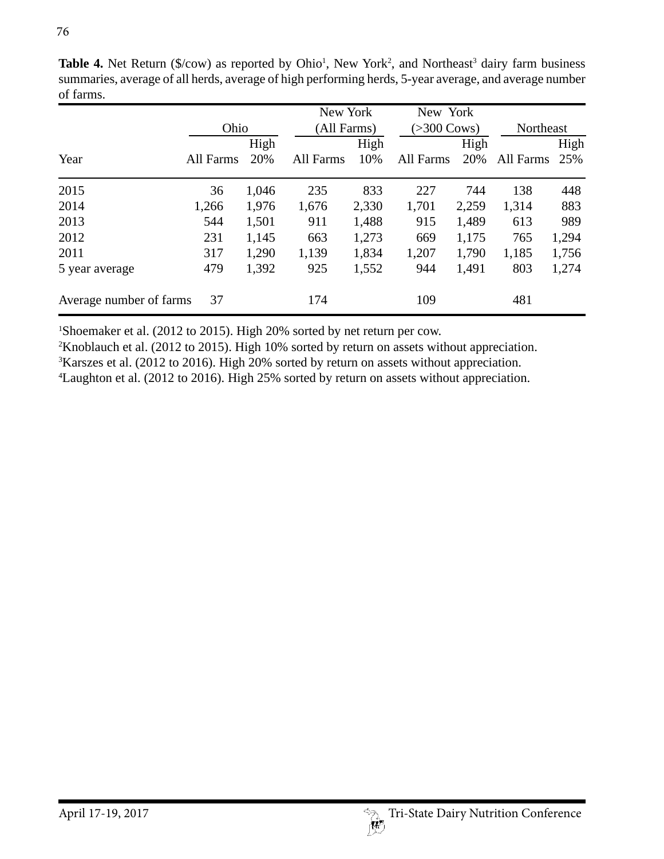| vi iuliis.              |           |             |                         |       |                                   |       |           |       |  |
|-------------------------|-----------|-------------|-------------------------|-------|-----------------------------------|-------|-----------|-------|--|
|                         |           |             | New York<br>(All Farms) |       | New York<br>$(>300 \text{ Cows})$ |       | Northeast |       |  |
|                         | Ohio      |             |                         | High  |                                   | High  | High      |       |  |
| Year                    | All Farms | High<br>20% | All Farms               | 10%   | All Farms                         | 20%   | All Farms | 25%   |  |
| 2015                    | 36        | 1,046       | 235                     | 833   | 227                               | 744   | 138       | 448   |  |
| 2014                    | 1,266     | 1,976       | 1,676                   | 2,330 | 1,701                             | 2,259 | 1,314     | 883   |  |
| 2013                    | 544       | 1,501       | 911                     | 1,488 | 915                               | 1,489 | 613       | 989   |  |
| 2012                    | 231       | 1,145       | 663                     | 1,273 | 669                               | 1,175 | 765       | 1,294 |  |
| 2011                    | 317       | 1,290       | 1,139                   | 1,834 | 1,207                             | 1,790 | 1,185     | 1,756 |  |
| 5 year average          | 479       | 1,392       | 925                     | 1,552 | 944                               | 1,491 | 803       | 1,274 |  |
| Average number of farms | 37        |             | 174                     |       | 109                               |       | 481       |       |  |

**Table 4.** Net Return (\$/cow) as reported by Ohio<sup>1</sup>, New York<sup>2</sup>, and Northeast<sup>3</sup> dairy farm business summaries, average of all herds, average of high performing herds, 5-year average, and average number of farms.

1 Shoemaker et al. (2012 to 2015). High 20% sorted by net return per cow.

 $2$ Knoblauch et al. (2012 to 2015). High 10% sorted by return on assets without appreciation.

<sup>3</sup>Karszes et al. (2012 to 2016). High 20% sorted by return on assets without appreciation.

4 Laughton et al. (2012 to 2016). High 25% sorted by return on assets without appreciation.